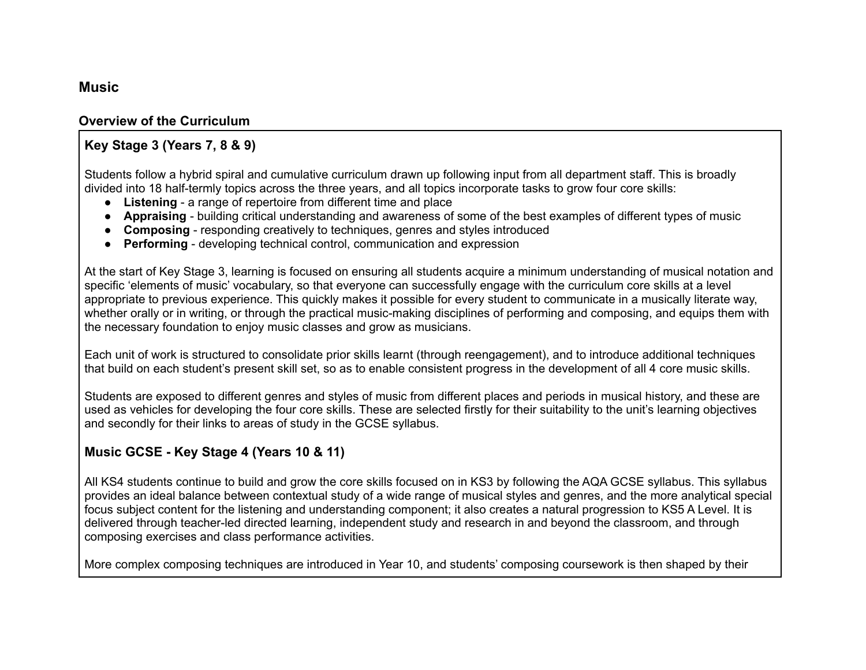### **Music**

#### **Overview of the Curriculum**

#### **Key Stage 3 (Years 7, 8 & 9)**

Students follow a hybrid spiral and cumulative curriculum drawn up following input from all department staff. This is broadly divided into 18 half-termly topics across the three years, and all topics incorporate tasks to grow four core skills:

- **Listening** a range of repertoire from different time and place
- **Appraising** building critical understanding and awareness of some of the best examples of different types of music
- **Composing** responding creatively to techniques, genres and styles introduced
- **Performing** developing technical control, communication and expression

At the start of Key Stage 3, learning is focused on ensuring all students acquire a minimum understanding of musical notation and specific 'elements of music' vocabulary, so that everyone can successfully engage with the curriculum core skills at a level appropriate to previous experience. This quickly makes it possible for every student to communicate in a musically literate way, whether orally or in writing, or through the practical music-making disciplines of performing and composing, and equips them with the necessary foundation to enjoy music classes and grow as musicians.

Each unit of work is structured to consolidate prior skills learnt (through reengagement), and to introduce additional techniques that build on each student's present skill set, so as to enable consistent progress in the development of all 4 core music skills.

Students are exposed to different genres and styles of music from different places and periods in musical history, and these are used as vehicles for developing the four core skills. These are selected firstly for their suitability to the unit's learning objectives and secondly for their links to areas of study in the GCSE syllabus.

### **Music GCSE - Key Stage 4 (Years 10 & 11)**

All KS4 students continue to build and grow the core skills focused on in KS3 by following the AQA GCSE syllabus. This syllabus provides an ideal balance between contextual study of a wide range of musical styles and genres, and the more analytical special focus subject content for the listening and understanding component; it also creates a natural progression to KS5 A Level. It is delivered through teacher-led directed learning, independent study and research in and beyond the classroom, and through composing exercises and class performance activities.

More complex composing techniques are introduced in Year 10, and students' composing coursework is then shaped by their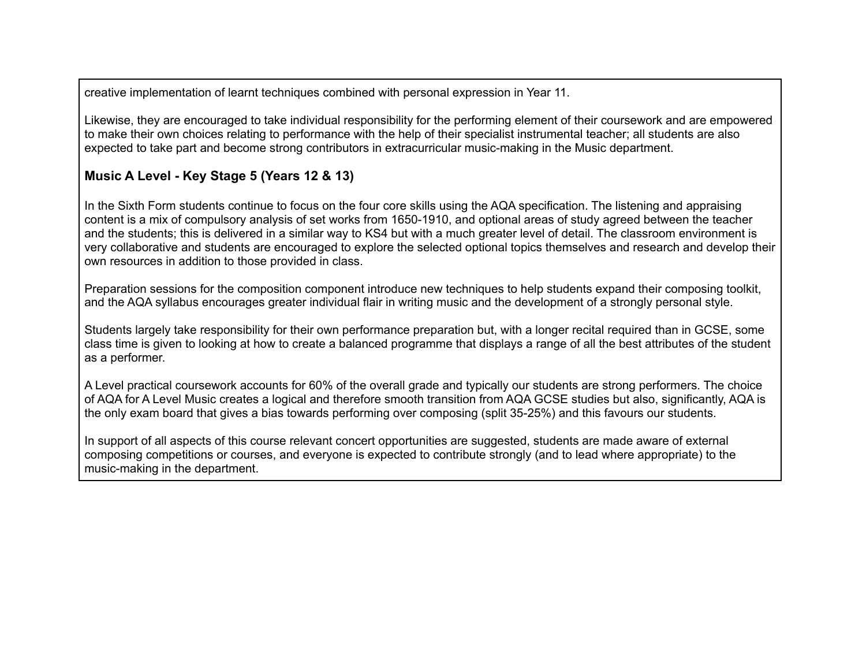creative implementation of learnt techniques combined with personal expression in Year 11.

Likewise, they are encouraged to take individual responsibility for the performing element of their coursework and are empowered to make their own choices relating to performance with the help of their specialist instrumental teacher; all students are also expected to take part and become strong contributors in extracurricular music-making in the Music department.

## **Music A Level - Key Stage 5 (Years 12 & 13)**

In the Sixth Form students continue to focus on the four core skills using the AQA specification. The listening and appraising content is a mix of compulsory analysis of set works from 1650-1910, and optional areas of study agreed between the teacher and the students; this is delivered in a similar way to KS4 but with a much greater level of detail. The classroom environment is very collaborative and students are encouraged to explore the selected optional topics themselves and research and develop their own resources in addition to those provided in class.

Preparation sessions for the composition component introduce new techniques to help students expand their composing toolkit, and the AQA syllabus encourages greater individual flair in writing music and the development of a strongly personal style.

Students largely take responsibility for their own performance preparation but, with a longer recital required than in GCSE, some class time is given to looking at how to create a balanced programme that displays a range of all the best attributes of the student as a performer.

A Level practical coursework accounts for 60% of the overall grade and typically our students are strong performers. The choice of AQA for A Level Music creates a logical and therefore smooth transition from AQA GCSE studies but also, significantly, AQA is the only exam board that gives a bias towards performing over composing (split 35-25%) and this favours our students.

In support of all aspects of this course relevant concert opportunities are suggested, students are made aware of external composing competitions or courses, and everyone is expected to contribute strongly (and to lead where appropriate) to the music-making in the department.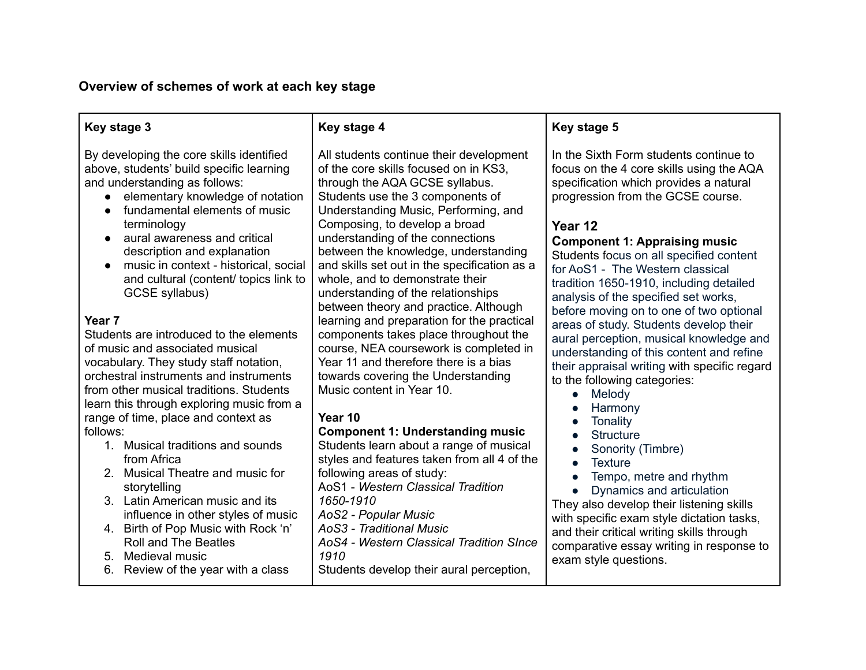# **Overview of schemes of work at each key stage**

| Key stage 3                                                                                                                                                                                                                                                                                                                                                                                                                                                                                                                                                                                                                                                                                                                                                                                                                                                                                                                                                                                                                                       | Key stage 4                                                                                                                                                                                                                                                                                                                                                                                                                                                                                                                                                                                                                                                                                                                                                                                                                                                                                                                                                                                                                                                                                                    | Key stage 5                                                                                                                                                                                                                                                                                                                                                                                                                                                                                                                                                                                                                                                                                                                                                                                                                                                                                                                                                                                                                                 |
|---------------------------------------------------------------------------------------------------------------------------------------------------------------------------------------------------------------------------------------------------------------------------------------------------------------------------------------------------------------------------------------------------------------------------------------------------------------------------------------------------------------------------------------------------------------------------------------------------------------------------------------------------------------------------------------------------------------------------------------------------------------------------------------------------------------------------------------------------------------------------------------------------------------------------------------------------------------------------------------------------------------------------------------------------|----------------------------------------------------------------------------------------------------------------------------------------------------------------------------------------------------------------------------------------------------------------------------------------------------------------------------------------------------------------------------------------------------------------------------------------------------------------------------------------------------------------------------------------------------------------------------------------------------------------------------------------------------------------------------------------------------------------------------------------------------------------------------------------------------------------------------------------------------------------------------------------------------------------------------------------------------------------------------------------------------------------------------------------------------------------------------------------------------------------|---------------------------------------------------------------------------------------------------------------------------------------------------------------------------------------------------------------------------------------------------------------------------------------------------------------------------------------------------------------------------------------------------------------------------------------------------------------------------------------------------------------------------------------------------------------------------------------------------------------------------------------------------------------------------------------------------------------------------------------------------------------------------------------------------------------------------------------------------------------------------------------------------------------------------------------------------------------------------------------------------------------------------------------------|
| By developing the core skills identified<br>above, students' build specific learning<br>and understanding as follows:<br>elementary knowledge of notation<br>fundamental elements of music<br>terminology<br>aural awareness and critical<br>description and explanation<br>music in context - historical, social<br>and cultural (content/ topics link to<br>GCSE syllabus)<br>Year <sub>7</sub><br>Students are introduced to the elements<br>of music and associated musical<br>vocabulary. They study staff notation,<br>orchestral instruments and instruments<br>from other musical traditions. Students<br>learn this through exploring music from a<br>range of time, place and context as<br>follows:<br>1. Musical traditions and sounds<br>from Africa<br>2. Musical Theatre and music for<br>storytelling<br>3. Latin American music and its<br>influence in other styles of music<br>4. Birth of Pop Music with Rock 'n'<br><b>Roll and The Beatles</b><br>Medieval music<br>5 <sub>1</sub><br>Review of the year with a class<br>6. | All students continue their development<br>of the core skills focused on in KS3,<br>through the AQA GCSE syllabus.<br>Students use the 3 components of<br>Understanding Music, Performing, and<br>Composing, to develop a broad<br>understanding of the connections<br>between the knowledge, understanding<br>and skills set out in the specification as a<br>whole, and to demonstrate their<br>understanding of the relationships<br>between theory and practice. Although<br>learning and preparation for the practical<br>components takes place throughout the<br>course, NEA coursework is completed in<br>Year 11 and therefore there is a bias<br>towards covering the Understanding<br>Music content in Year 10.<br>Year 10<br><b>Component 1: Understanding music</b><br>Students learn about a range of musical<br>styles and features taken from all 4 of the<br>following areas of study:<br>AoS1 - Western Classical Tradition<br>1650-1910<br>AoS2 - Popular Music<br>AoS3 - Traditional Music<br>AoS4 - Western Classical Tradition SInce<br>1910<br>Students develop their aural perception, | In the Sixth Form students continue to<br>focus on the 4 core skills using the AQA<br>specification which provides a natural<br>progression from the GCSE course.<br>Year 12<br><b>Component 1: Appraising music</b><br>Students focus on all specified content<br>for AoS1 - The Western classical<br>tradition 1650-1910, including detailed<br>analysis of the specified set works,<br>before moving on to one of two optional<br>areas of study. Students develop their<br>aural perception, musical knowledge and<br>understanding of this content and refine<br>their appraisal writing with specific regard<br>to the following categories:<br>Melody<br>$\bullet$<br>Harmony<br>Tonality<br><b>Structure</b><br>Sonority (Timbre)<br><b>Texture</b><br>$\bullet$<br>Tempo, metre and rhythm<br>Dynamics and articulation<br>They also develop their listening skills<br>with specific exam style dictation tasks,<br>and their critical writing skills through<br>comparative essay writing in response to<br>exam style questions. |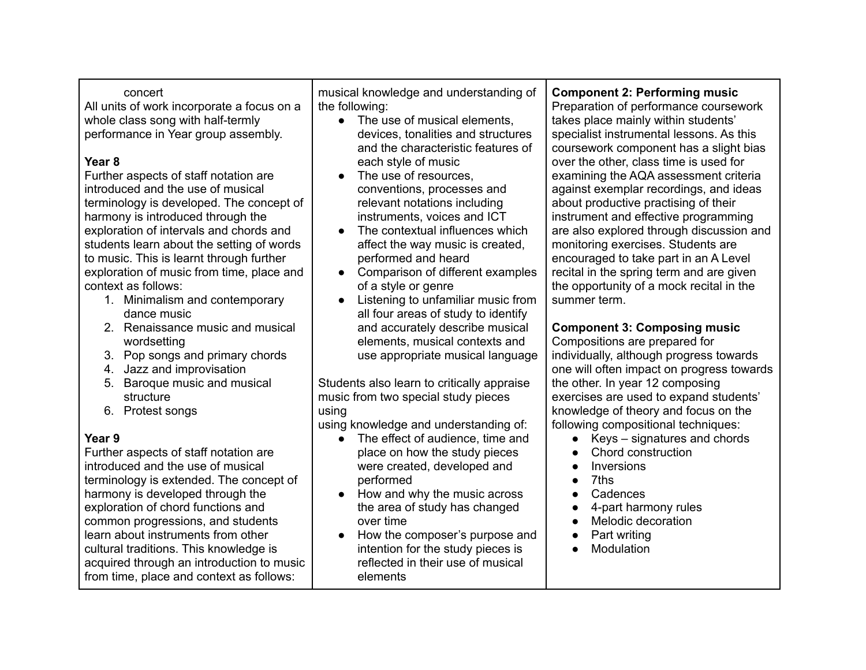| concert<br>All units of work incorporate a focus on a<br>whole class song with half-termly<br>performance in Year group assembly.<br>Year <sub>8</sub><br>Further aspects of staff notation are<br>introduced and the use of musical<br>terminology is developed. The concept of<br>harmony is introduced through the<br>exploration of intervals and chords and<br>students learn about the setting of words<br>to music. This is learnt through further<br>exploration of music from time, place and<br>context as follows:<br>1. Minimalism and contemporary<br>dance music<br>2. Renaissance music and musical<br>wordsetting<br>3. Pop songs and primary chords<br>4. Jazz and improvisation<br>Baroque music and musical<br>5.<br>structure<br>6. Protest songs<br>using<br>Year 9<br>Further aspects of staff notation are<br>introduced and the use of musical<br>terminology is extended. The concept of<br>harmony is developed through the<br>exploration of chord functions and<br>common progressions, and students<br>learn about instruments from other<br>cultural traditions. This knowledge is<br>acquired through an introduction to music<br>from time, place and context as follows: | musical knowledge and understanding of<br>the following:<br>• The use of musical elements,<br>devices, tonalities and structures<br>and the characteristic features of<br>each style of music<br>The use of resources,<br>conventions, processes and<br>relevant notations including<br>instruments, voices and ICT<br>The contextual influences which<br>affect the way music is created,<br>performed and heard<br>Comparison of different examples<br>of a style or genre<br>Listening to unfamiliar music from<br>all four areas of study to identify<br>and accurately describe musical<br>elements, musical contexts and<br>use appropriate musical language<br>Students also learn to critically appraise<br>music from two special study pieces<br>using knowledge and understanding of:<br>The effect of audience, time and<br>$\bullet$<br>place on how the study pieces<br>were created, developed and<br>performed<br>How and why the music across<br>the area of study has changed<br>over time<br>How the composer's purpose and<br>intention for the study pieces is<br>reflected in their use of musical<br>elements | <b>Component 2: Performing music</b><br>Preparation of performance coursework<br>takes place mainly within students'<br>specialist instrumental lessons. As this<br>coursework component has a slight bias<br>over the other, class time is used for<br>examining the AQA assessment criteria<br>against exemplar recordings, and ideas<br>about productive practising of their<br>instrument and effective programming<br>are also explored through discussion and<br>monitoring exercises. Students are<br>encouraged to take part in an A Level<br>recital in the spring term and are given<br>the opportunity of a mock recital in the<br>summer term.<br><b>Component 3: Composing music</b><br>Compositions are prepared for<br>individually, although progress towards<br>one will often impact on progress towards<br>the other. In year 12 composing<br>exercises are used to expand students'<br>knowledge of theory and focus on the<br>following compositional techniques:<br>Keys - signatures and chords<br>$\bullet$<br>Chord construction<br>$\bullet$<br>Inversions<br>$\bullet$<br>7ths<br>$\bullet$<br>Cadences<br>$\bullet$<br>4-part harmony rules<br>Melodic decoration<br>Part writing<br>Modulation |
|-----------------------------------------------------------------------------------------------------------------------------------------------------------------------------------------------------------------------------------------------------------------------------------------------------------------------------------------------------------------------------------------------------------------------------------------------------------------------------------------------------------------------------------------------------------------------------------------------------------------------------------------------------------------------------------------------------------------------------------------------------------------------------------------------------------------------------------------------------------------------------------------------------------------------------------------------------------------------------------------------------------------------------------------------------------------------------------------------------------------------------------------------------------------------------------------------------------|--------------------------------------------------------------------------------------------------------------------------------------------------------------------------------------------------------------------------------------------------------------------------------------------------------------------------------------------------------------------------------------------------------------------------------------------------------------------------------------------------------------------------------------------------------------------------------------------------------------------------------------------------------------------------------------------------------------------------------------------------------------------------------------------------------------------------------------------------------------------------------------------------------------------------------------------------------------------------------------------------------------------------------------------------------------------------------------------------------------------------------------|-----------------------------------------------------------------------------------------------------------------------------------------------------------------------------------------------------------------------------------------------------------------------------------------------------------------------------------------------------------------------------------------------------------------------------------------------------------------------------------------------------------------------------------------------------------------------------------------------------------------------------------------------------------------------------------------------------------------------------------------------------------------------------------------------------------------------------------------------------------------------------------------------------------------------------------------------------------------------------------------------------------------------------------------------------------------------------------------------------------------------------------------------------------------------------------------------------------------------------|
|-----------------------------------------------------------------------------------------------------------------------------------------------------------------------------------------------------------------------------------------------------------------------------------------------------------------------------------------------------------------------------------------------------------------------------------------------------------------------------------------------------------------------------------------------------------------------------------------------------------------------------------------------------------------------------------------------------------------------------------------------------------------------------------------------------------------------------------------------------------------------------------------------------------------------------------------------------------------------------------------------------------------------------------------------------------------------------------------------------------------------------------------------------------------------------------------------------------|--------------------------------------------------------------------------------------------------------------------------------------------------------------------------------------------------------------------------------------------------------------------------------------------------------------------------------------------------------------------------------------------------------------------------------------------------------------------------------------------------------------------------------------------------------------------------------------------------------------------------------------------------------------------------------------------------------------------------------------------------------------------------------------------------------------------------------------------------------------------------------------------------------------------------------------------------------------------------------------------------------------------------------------------------------------------------------------------------------------------------------------|-----------------------------------------------------------------------------------------------------------------------------------------------------------------------------------------------------------------------------------------------------------------------------------------------------------------------------------------------------------------------------------------------------------------------------------------------------------------------------------------------------------------------------------------------------------------------------------------------------------------------------------------------------------------------------------------------------------------------------------------------------------------------------------------------------------------------------------------------------------------------------------------------------------------------------------------------------------------------------------------------------------------------------------------------------------------------------------------------------------------------------------------------------------------------------------------------------------------------------|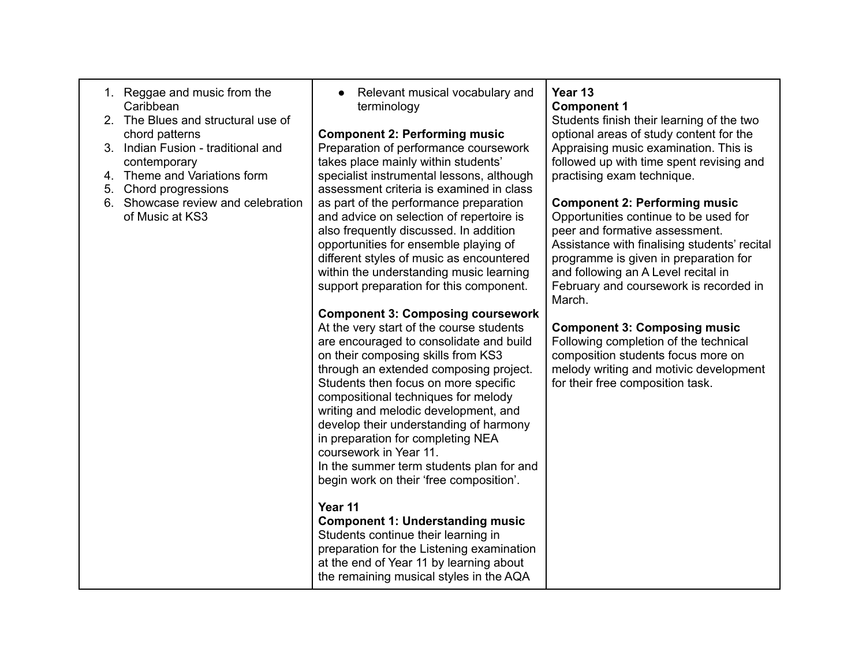| 1. Reggae and music from the<br>Caribbean<br>2. The Blues and structural use of<br>chord patterns<br>3. Indian Fusion - traditional and<br>contemporary<br>Theme and Variations form<br>4.<br>Chord progressions<br>5.<br>6. Showcase review and celebration<br>of Music at KS3 | Relevant musical vocabulary and<br>terminology<br><b>Component 2: Performing music</b><br>Preparation of performance coursework<br>takes place mainly within students'<br>specialist instrumental lessons, although<br>assessment criteria is examined in class<br>as part of the performance preparation<br>and advice on selection of repertoire is<br>also frequently discussed. In addition<br>opportunities for ensemble playing of<br>different styles of music as encountered<br>within the understanding music learning<br>support preparation for this component.<br><b>Component 3: Composing coursework</b><br>At the very start of the course students<br>are encouraged to consolidate and build<br>on their composing skills from KS3<br>through an extended composing project.<br>Students then focus on more specific<br>compositional techniques for melody<br>writing and melodic development, and<br>develop their understanding of harmony<br>in preparation for completing NEA<br>coursework in Year 11.<br>In the summer term students plan for and<br>begin work on their 'free composition'. | Year 13<br><b>Component 1</b><br>Students finish their learning of the two<br>optional areas of study content for the<br>Appraising music examination. This is<br>followed up with time spent revising and<br>practising exam technique.<br><b>Component 2: Performing music</b><br>Opportunities continue to be used for<br>peer and formative assessment.<br>Assistance with finalising students' recital<br>programme is given in preparation for<br>and following an A Level recital in<br>February and coursework is recorded in<br>March.<br><b>Component 3: Composing music</b><br>Following completion of the technical<br>composition students focus more on<br>melody writing and motivic development<br>for their free composition task. |
|---------------------------------------------------------------------------------------------------------------------------------------------------------------------------------------------------------------------------------------------------------------------------------|----------------------------------------------------------------------------------------------------------------------------------------------------------------------------------------------------------------------------------------------------------------------------------------------------------------------------------------------------------------------------------------------------------------------------------------------------------------------------------------------------------------------------------------------------------------------------------------------------------------------------------------------------------------------------------------------------------------------------------------------------------------------------------------------------------------------------------------------------------------------------------------------------------------------------------------------------------------------------------------------------------------------------------------------------------------------------------------------------------------------|-----------------------------------------------------------------------------------------------------------------------------------------------------------------------------------------------------------------------------------------------------------------------------------------------------------------------------------------------------------------------------------------------------------------------------------------------------------------------------------------------------------------------------------------------------------------------------------------------------------------------------------------------------------------------------------------------------------------------------------------------------|
|                                                                                                                                                                                                                                                                                 | Year 11<br><b>Component 1: Understanding music</b><br>Students continue their learning in<br>preparation for the Listening examination<br>at the end of Year 11 by learning about<br>the remaining musical styles in the AQA                                                                                                                                                                                                                                                                                                                                                                                                                                                                                                                                                                                                                                                                                                                                                                                                                                                                                         |                                                                                                                                                                                                                                                                                                                                                                                                                                                                                                                                                                                                                                                                                                                                                     |